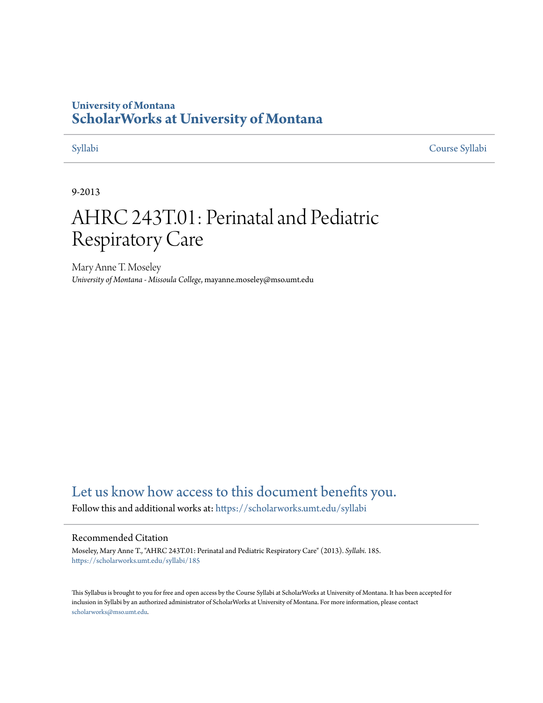## **University of Montana [ScholarWorks at University of Montana](https://scholarworks.umt.edu?utm_source=scholarworks.umt.edu%2Fsyllabi%2F185&utm_medium=PDF&utm_campaign=PDFCoverPages)**

[Syllabi](https://scholarworks.umt.edu/syllabi?utm_source=scholarworks.umt.edu%2Fsyllabi%2F185&utm_medium=PDF&utm_campaign=PDFCoverPages) [Course Syllabi](https://scholarworks.umt.edu/course_syllabi?utm_source=scholarworks.umt.edu%2Fsyllabi%2F185&utm_medium=PDF&utm_campaign=PDFCoverPages)

#### 9-2013

# AHRC 243T.01: Perinatal and Pediatric Respiratory Care

Mary Anne T. Moseley *University of Montana - Missoula College*, mayanne.moseley@mso.umt.edu

# [Let us know how access to this document benefits you.](https://goo.gl/forms/s2rGfXOLzz71qgsB2)

Follow this and additional works at: [https://scholarworks.umt.edu/syllabi](https://scholarworks.umt.edu/syllabi?utm_source=scholarworks.umt.edu%2Fsyllabi%2F185&utm_medium=PDF&utm_campaign=PDFCoverPages)

#### Recommended Citation

Moseley, Mary Anne T., "AHRC 243T.01: Perinatal and Pediatric Respiratory Care" (2013). *Syllabi*. 185. [https://scholarworks.umt.edu/syllabi/185](https://scholarworks.umt.edu/syllabi/185?utm_source=scholarworks.umt.edu%2Fsyllabi%2F185&utm_medium=PDF&utm_campaign=PDFCoverPages)

This Syllabus is brought to you for free and open access by the Course Syllabi at ScholarWorks at University of Montana. It has been accepted for inclusion in Syllabi by an authorized administrator of ScholarWorks at University of Montana. For more information, please contact [scholarworks@mso.umt.edu](mailto:scholarworks@mso.umt.edu).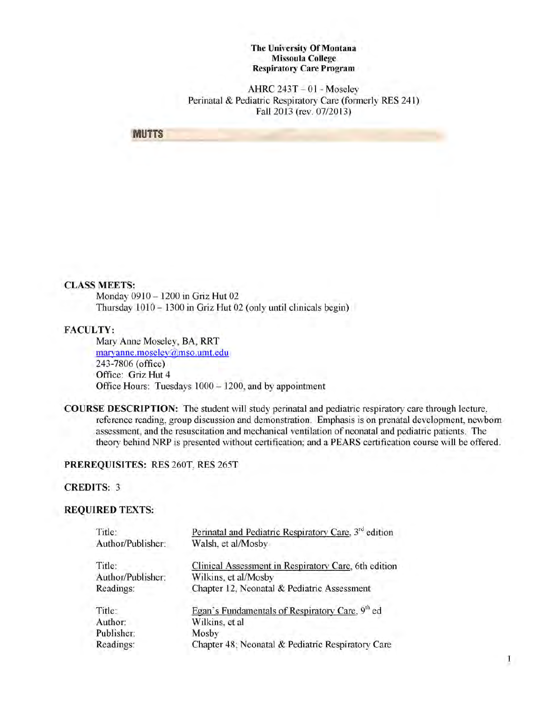**The University Of Montana Missoula College Respiratory Care Program**

 $AHRC 243T - 01 - Moselev$ Perinatal & Pediatric Respiratory Care (formerly RES 241) Fall 2013 (rev. 07/2013)

**MUTTS** 

#### **CLASS MEETS:**

Monday 0910 - 1200 in Griz Hut 02 Thursday 1010 - 1300 in Griz Hut 02 (only until clinicals begin)

#### FACULTY:

Mary Anne Moseley, BA, RRT marvanne.moselev@mso.umt.edu 243-7806 (office) Office: Griz Hut 4 Office Hours: Tuesdays 1000 - 1200, and by appointment

COURSE DESCRIPTION: The student will study perinatal and pediatric respiratory care through lecture, reference reading, group discussion and demonstration. Emphasis is on prenatal development, newborn assessment, and the resuscitation and mechanical ventilation of neonatal and pediatric patients. The theory behind NRP is presented without certification; and a PEARS certification course will be offered.

#### PREREQUISITES: RES 260T, RES 265T

#### CREDITS: 3

#### REQUIRED TEXTS:

| Title:            | Perinatal and Pediatric Respiratory Care, 3 <sup>rd</sup> edition |
|-------------------|-------------------------------------------------------------------|
| Author/Publisher: | Walsh, et al/Mosby                                                |
| Title:            | Clinical Assessment in Respiratory Care, 6th edition              |
| Author/Publisher: | Wilkins, et al/Mosby                                              |
| Readings:         | Chapter 12, Neonatal & Pediatric Assessment                       |
| Title:            | Egan's Fundamentals of Respiratory Care, 9th ed                   |
| Author:           | Wilkins, et al                                                    |
| Publisher:        | Mosby                                                             |
| Readings:         | Chapter 48; Neonatal & Pediatric Respiratory Care                 |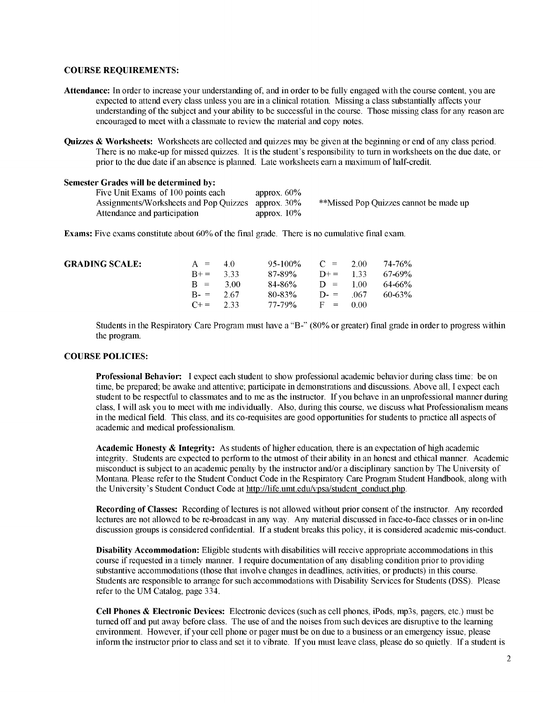#### **COURSE REQUIREMENTS:**

- **Attendance:** In order to increase your understanding of, and in order to be fully engaged with the course content, you are expected to attend every class unless you are in a clinical rotation. Missing a class substantially affects your understanding of the subject and your ability to be successful in the course. Those missing class for any reason are encouraged to meet with a classmate to review the material and copy notes.
- **Quizzes & Worksheets:** Worksheets are collected and quizzes may be given at the beginning or end of any class period. There is no make-up for missed quizzes. It is the student's responsibility to turn in worksheets on the due date, or prior to the due date if an absence is planned. Late worksheets earn a maximum of half-credit.

| Semester Grades will be determined by: |                |                                        |
|----------------------------------------|----------------|----------------------------------------|
| Five Unit Exams of 100 points each     | approx. $60\%$ |                                        |
| Assignments/Worksheets and Pop Quizzes | approx. $30\%$ | **Missed Pop Quizzes cannot be made up |
| Attendance and participation           | approx. $10\%$ |                                        |

**Exams:** Five exams constitute about 60% of the final grade. There is no cumulative final exam.

| <b>GRADING SCALE:</b> | $A = 40$<br>$B+=$ 3.33<br>$B = 300$ | $95-100\%$ C = 2.00 74-76%<br>$87-89\%$ D+= 1.33 67-69%<br>$84-86\%$ D = 100 64-66% |  |          |
|-----------------------|-------------------------------------|-------------------------------------------------------------------------------------|--|----------|
|                       | $B = 2.67$<br>$C+=$ 2.33            | $80-83\%$ D- = 067<br>$77-79\%$ F = 0.00                                            |  | - 60-63% |

Students in the Respiratory Care Program must have a "B-" (80% or greater) final grade in order to progress within the program.

#### **COURSE POLICIES:**

**Professional Behavior:** I expect each student to show professional academic behavior during class time: be on time, be prepared; be awake and attentive; participate in demonstrations and discussions. Above all, I expect each student to be respectful to classmates and to me as the instructor. If you behave in an unprofessional manner during class, I will ask you to meet with me individually. Also, during this course, we discuss what Professionalism means in the medical field. This class, and its co-requisites are good opportunities for students to practice all aspects of academic and medical professionalism.

**Academic Honesty & Integrity:** As students of higher education, there is an expectation of high academic integrity. Students are expected to perform to the utmost of their ability in an honest and ethical manner. Academic misconduct is subject to an academic penalty by the instructor and/or a disciplinary sanction by The University of Montana. Please refer to the Student Conduct Code in the Respiratory Care Program Student Handbook, along with the University's Student Conduct Code at http://life.umt.edu/vpsa/student\_conduct.php.

**Recording of Classes:** Recording of lectures is not allowed without prior consent of the instructor. Any recorded lectures are not allowed to be re-broadcast in any way. Any material discussed in face-to-face classes or in on-line discussion groups is considered confidential. If a student breaks this policy, it is considered academic mis-conduct.

**Disability Accommodation:** Eligible students with disabilities will receive appropriate accommodations in this course if requested in a timely manner. I require documentation of any disabling condition prior to providing substantive accommodations (those that involve changes in deadlines, activities, or products) in this course. Students are responsible to arrange for such accommodations with Disability Services for Students (DSS). Please refer to the UM Catalog, page 334.

**Cell Phones & Electronic Devices:** Electronic devices (such as cell phones, iPods, mp3s, pagers, etc.) must be turned off and put away before class. The use of and the noises from such devices are disruptive to the learning environment. However, if your cell phone or pager must be on due to a business or an emergency issue, please inform the instructor prior to class and set it to vibrate. If you must leave class, please do so quietly. If a student is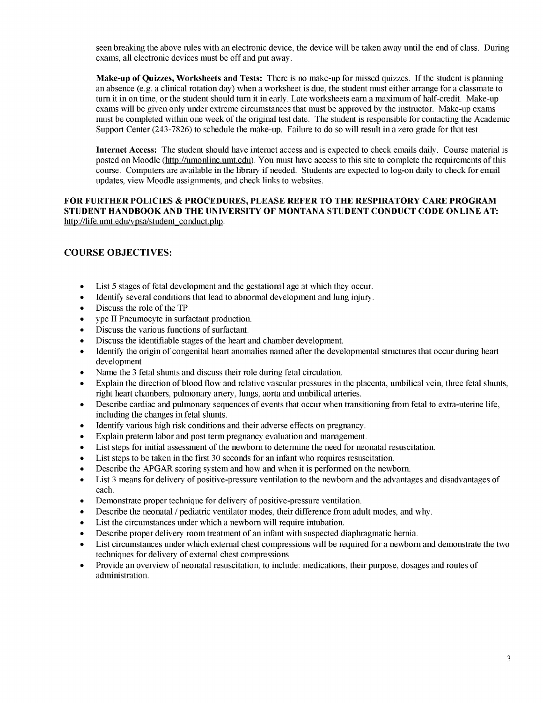seen breaking the above rules with an electronic device, the device will be taken away until the end of class. During exams, all electronic devices must be off and put away.

**Make-up of Quizzes, Worksheets and Tests:** There is no make-up for missed quizzes. If the student is planning an absence (e.g. a clinical rotation day) when a worksheet is due, the student must either arrange for a classmate to turn it in on time, or the student should turn it in early. Late worksheets earn a maximum of half-credit. Make-up exams will be given only under extreme circumstances that must be approved by the instructor. Make-up exams must be completed within one week of the original test date. The student is responsible for contacting the Academic Support Center (243-7826) to schedule the make-up. Failure to do so will result in a zero grade for that test.

**Internet Access:** The student should have internet access and is expected to check emails daily. Course material is posted on Moodle (http://umonline.umt.edu'). You must have access to this site to complete the requirements of this course. Computers are available in the library if needed. Students are expected to log-on daily to check for email updates, view Moodle assignments, and check links to websites.

#### **FOR FURTHER POLICIES & PROCEDURES, PLEASE REFER TO THE RESPIRATORY CARE PROGRAM STUDENT HANDBOOK AND THE UNIVERSITY OF MONTANA STUDENT CONDUCT CODE ONLINE AT:** http://life.umt.edu/vpsa/student conduct.php.

#### **COURSE OBJECTIVES:**

- List 5 stages of fetal development and the gestational age at which they occur.
- Identify several conditions that lead to abnormal development and lung injury.
- Discuss the role of the TP
- ype II Pneumocyte in surfactant production.
- Discuss the various functions of surfactant.
- Discuss the identifiable stages of the heart and chamber development.
- Identify the origin of congenital heart anomalies named after the developmental structures that occur during heart development
- Name the 3 fetal shunts and discuss their role during fetal circulation.
- Explain the direction of blood flow and relative vascular pressures in the placenta, umbilical vein, three fetal shunts, right heart chambers, pulmonary artery, lungs, aorta and umbilical arteries.
- Describe cardiac and pulmonary sequences of events that occur when transitioning from fetal to extra-uterine life, including the changes in fetal shunts.
- Identify various high risk conditions and their adverse effects on pregnancy.
- Explain preterm labor and post term pregnancy evaluation and management.
- List steps for initial assessment of the newborn to determine the need for neonatal resuscitation.
- List steps to be taken in the first 30 seconds for an infant who requires resuscitation.
- Describe the APGAR scoring system and how and when it is performed on the newborn.
- List 3 means for delivery of positive-pressure ventilation to the newborn and the advantages and disadvantages of each.
- Demonstrate proper technique for delivery of positive-pressure ventilation.
- Describe the neonatal / pediatric ventilator modes, their difference from adult modes, and why.
- List the circumstances under which a newborn will require intubation.
- Describe proper delivery room treatment of an infant with suspected diaphragmatic hernia.
- List circumstances under which external chest compressions will be required for a newborn and demonstrate the two techniques for delivery of external chest compressions.
- Provide an overview of neonatal resuscitation, to include: medications, their purpose, dosages and routes of administration.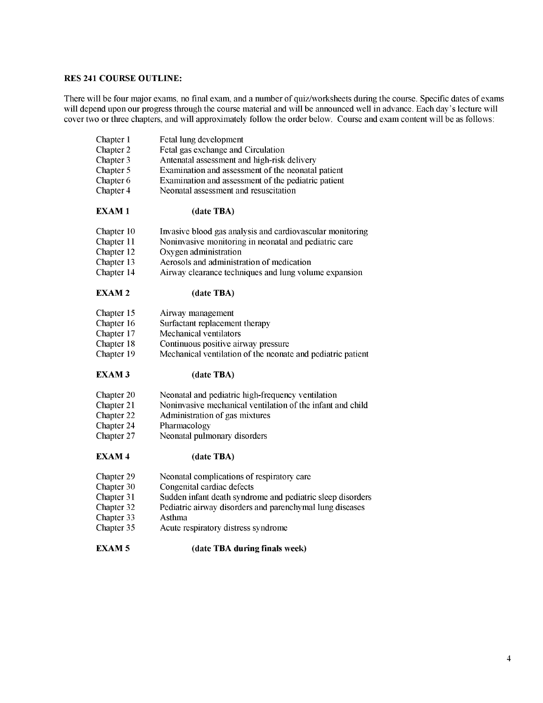#### **RES 241 COURSE OUTLINE:**

There will be four major exams, no final exam, and a number of quiz/worksheets during the course. Specific dates of exams will depend upon our progress through the course material and will be announced well in advance. Each day's lecture will cover two or three chapters, and will approximately follow the order below. Course and exam content will be as follows:

| Chapter 1<br>Chapter 2<br>Chapter 3<br>Chapter 5<br>Chapter 6<br>Chapter 4 | Fetal lung development<br>Fetal gas exchange and Circulation<br>Antenatal assessment and high-risk delivery<br>Examination and assessment of the neonatal patient<br>Examination and assessment of the pediatric patient<br>Neonatal assessment and resuscitation |
|----------------------------------------------------------------------------|-------------------------------------------------------------------------------------------------------------------------------------------------------------------------------------------------------------------------------------------------------------------|
| <b>EXAM1</b>                                                               | (date TBA)                                                                                                                                                                                                                                                        |
| Chapter 10                                                                 | Invasive blood gas analysis and cardiovascular monitoring                                                                                                                                                                                                         |
| Chapter 11                                                                 | Noninvasive monitoring in neonatal and pediatric care                                                                                                                                                                                                             |
| Chapter 12                                                                 | Oxygen administration                                                                                                                                                                                                                                             |
| Chapter 13                                                                 | Aerosols and administration of medication                                                                                                                                                                                                                         |
| Chapter 14                                                                 | Airway clearance techniques and lung volume expansion                                                                                                                                                                                                             |
| <b>EXAM2</b>                                                               | (date TBA)                                                                                                                                                                                                                                                        |
| Chapter 15                                                                 | Airway management                                                                                                                                                                                                                                                 |
| Chapter 16                                                                 | Surfactant replacement therapy                                                                                                                                                                                                                                    |
| Chapter 17                                                                 | Mechanical ventilators                                                                                                                                                                                                                                            |
| Chapter 18                                                                 | Continuous positive airway pressure                                                                                                                                                                                                                               |
| Chapter 19                                                                 | Mechanical ventilation of the neonate and pediatric patient                                                                                                                                                                                                       |
| <b>EXAM3</b>                                                               | (date TBA)                                                                                                                                                                                                                                                        |
| Chapter 20                                                                 | Neonatal and pediatric high-frequency ventilation                                                                                                                                                                                                                 |
| Chapter 21                                                                 | Noninvasive mechanical ventilation of the infant and child                                                                                                                                                                                                        |
| Chapter 22                                                                 | Administration of gas mixtures                                                                                                                                                                                                                                    |
| Chapter 24                                                                 | Pharmacology                                                                                                                                                                                                                                                      |
| Chapter 27                                                                 | Neonatal pulmonary disorders                                                                                                                                                                                                                                      |
| <b>EXAM4</b>                                                               | (date TBA)                                                                                                                                                                                                                                                        |
| Chapter 29                                                                 | Neonatal complications of respiratory care                                                                                                                                                                                                                        |
| Chapter 30                                                                 | Congenital cardiac defects                                                                                                                                                                                                                                        |
| Chapter 31                                                                 | Sudden infant death syndrome and pediatric sleep disorders                                                                                                                                                                                                        |
| Chapter 32                                                                 | Pediatric airway disorders and parenchymal lung diseases                                                                                                                                                                                                          |
| Chapter 33                                                                 | <b>Asthma</b>                                                                                                                                                                                                                                                     |
| Chapter 35                                                                 | Acute respiratory distress syndrome                                                                                                                                                                                                                               |
| <b>EXAM5</b>                                                               | (date TBA during finals week)                                                                                                                                                                                                                                     |